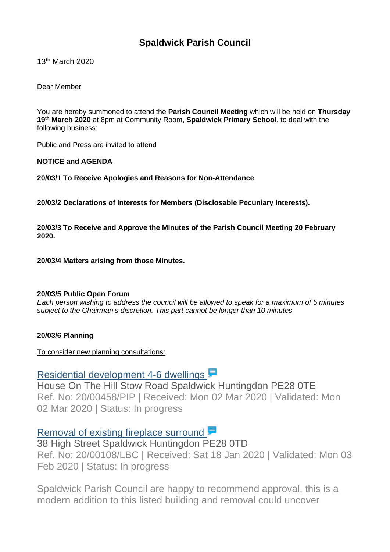## **Spaldwick Parish Council**

13th March 2020

Dear Member

You are hereby summoned to attend the **Parish Council Meeting** which will be held on **Thursday 19th March 2020** at 8pm at Community Room, **Spaldwick Primary School**, to deal with the following business:

Public and Press are invited to attend

**NOTICE and AGENDA**

**20/03/1 To Receive Apologies and Reasons for Non-Attendance**

**20/03/2 Declarations of Interests for Members (Disclosable Pecuniary Interests).**

**20/03/3 To Receive and Approve the Minutes of the Parish Council Meeting 20 February 2020.**

**20/03/4 Matters arising from those Minutes.**

#### **20/03/5 Public Open Forum**

*Each person wishing to address the council will be allowed to speak for a maximum of 5 minutes subject to the Chairman s discretion. This part cannot be longer than 10 minutes*

#### **20/03/6 Planning**

To consider new planning consultations:

# Residential [development](https://publicaccess.huntingdonshire.gov.uk/online-applications/applicationDetails.do?keyVal=Q6M1FTIK0DP00&activeTab=summary) 4-6 dwellings

House On The Hill Stow Road Spaldwick Huntingdon PE28 0TE Ref. No: 20/00458/PIP | Received: Mon 02 Mar 2020 | Validated: Mon 02 Mar 2020 | Status: In progress

### [Removal](https://publicaccess.huntingdonshire.gov.uk/online-applications/applicationDetails.do?keyVal=Q4AMMSIKIQ000&activeTab=summary) of existing fireplace surround

38 High Street Spaldwick Huntingdon PE28 0TD Ref. No: 20/00108/LBC | Received: Sat 18 Jan 2020 | Validated: Mon 03 Feb 2020 | Status: In progress

Spaldwick Parish Council are happy to recommend approval, this is a modern addition to this listed building and removal could uncover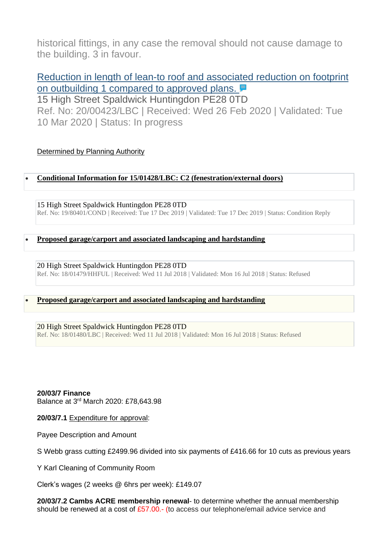historical fittings, in any case the removal should not cause damage to the building. 3 in favour.

## Reduction in length of lean-to roof and [associated](https://publicaccess.huntingdonshire.gov.uk/online-applications/applicationDetails.do?keyVal=Q6BB1HIKJHW00&activeTab=summary) reduction on footprint on [outbuilding](https://publicaccess.huntingdonshire.gov.uk/online-applications/applicationDetails.do?keyVal=Q6BB1HIKJHW00&activeTab=summary) 1 compared to approved plans. **■**

15 High Street Spaldwick Huntingdon PE28 0TD Ref. No: 20/00423/LBC | Received: Wed 26 Feb 2020 | Validated: Tue 10 Mar 2020 | Status: In progress

#### Determined by Planning Authority

#### • **[Conditional Information for 15/01428/LBC: C2 \(fenestration/external doors\)](https://publicaccess.huntingdonshire.gov.uk/online-applications/applicationDetails.do?keyVal=Q2NLAUIKI5600&activeTab=summary)**

15 High Street Spaldwick Huntingdon PE28 0TD Ref. No: 19/80401/COND | Received: Tue 17 Dec 2019 | Validated: Tue 17 Dec 2019 | Status: Condition Reply

#### • **[Proposed garage/carport and associated landscaping and hardstanding](https://publicaccess.huntingdonshire.gov.uk/online-applications/applicationDetails.do?keyVal=PBPM47IKN2M00&activeTab=summary)**

20 High Street Spaldwick Huntingdon PE28 0TD Ref. No: 18/01479/HHFUL | Received: Wed 11 Jul 2018 | Validated: Mon 16 Jul 2018 | Status: Refused

#### • **[Proposed garage/carport and associated landscaping and hardstanding](https://publicaccess.huntingdonshire.gov.uk/online-applications/applicationDetails.do?keyVal=PBPM57IKN2N00&activeTab=summary)**

#### 20 High Street Spaldwick Huntingdon PE28 0TD

Ref. No: 18/01480/LBC | Received: Wed 11 Jul 2018 | Validated: Mon 16 Jul 2018 | Status: Refused

#### **20/03/7 Finance**

Balance at 3 rd March 2020: £78,643.98

**20/03/7.1** Expenditure for approval:

Payee Description and Amount

S Webb grass cutting £2499.96 divided into six payments of £416.66 for 10 cuts as previous years

Y Karl Cleaning of Community Room

Clerk's wages (2 weeks @ 6hrs per week): £149.07

**20/03/7.2 Cambs ACRE membership renewal**- to determine whether the annual membership should be renewed at a cost of  $£57.00.$ - (to access our telephone/email advice service and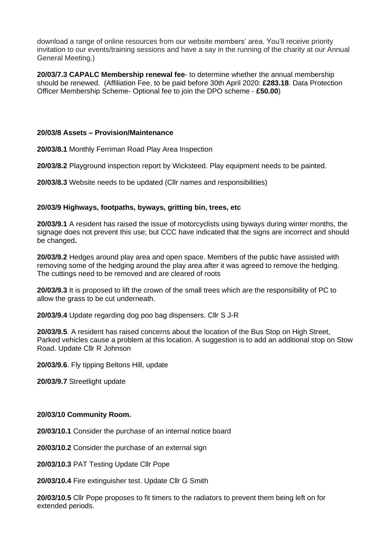download a range of online resources from our website members' area. You'll receive priority invitation to our events/training sessions and have a say in the running of the charity at our Annual General Meeting.)

**20/03/7.3 CAPALC Membership renewal fee**- to determine whether the annual membership should be renewed. (Affiliation Fee, to be paid before 30th April 2020: **£283.18**. Data Protection Officer Membership Scheme- Optional fee to join the DPO scheme - **£50.00**)

#### **20/03/8 Assets – Provision/Maintenance**

**20/03/8.1** Monthly Ferriman Road Play Area Inspection

**20/03/8.2** Playground inspection report by Wicksteed. Play equipment needs to be painted.

**20/03/8.3** Website needs to be updated (Cllr names and responsibilities)

#### **20/03/9 Highways, footpaths, byways, gritting bin, trees, etc**

**20/03/9.1** A resident has raised the issue of motorcyclists using byways during winter months, the signage does not prevent this use; but CCC have indicated that the signs are incorrect and should be changed**.**

**20/03/9.2** Hedges around play area and open space. Members of the public have assisted with removing some of the hedging around the play area after it was agreed to remove the hedging. The cuttings need to be removed and are cleared of roots

**20/03/9.3** It is proposed to lift the crown of the small trees which are the responsibility of PC to allow the grass to be cut underneath.

**20/03/9.4** Update regarding dog poo bag dispensers. Cllr S J-R

**20/03/9.5**. A resident has raised concerns about the location of the Bus Stop on High Street, Parked vehicles cause a problem at this location. A suggestion is to add an additional stop on Stow Road. Update Cllr R Johnson

**20/03/9.6**. Fly tipping Beltons Hill, update

**20/03/9.7** Streetlight update

#### **20/03/10 Community Room.**

**20/03/10.1** Consider the purchase of an internal notice board

**20/03/10.2** Consider the purchase of an external sign

**20/03/10.3** PAT Testing Update Cllr Pope

**20/03/10.4** Fire extinguisher test. Update Cllr G Smith

**20/03/10.5** Cllr Pope proposes to fit timers to the radiators to prevent them being left on for extended periods.